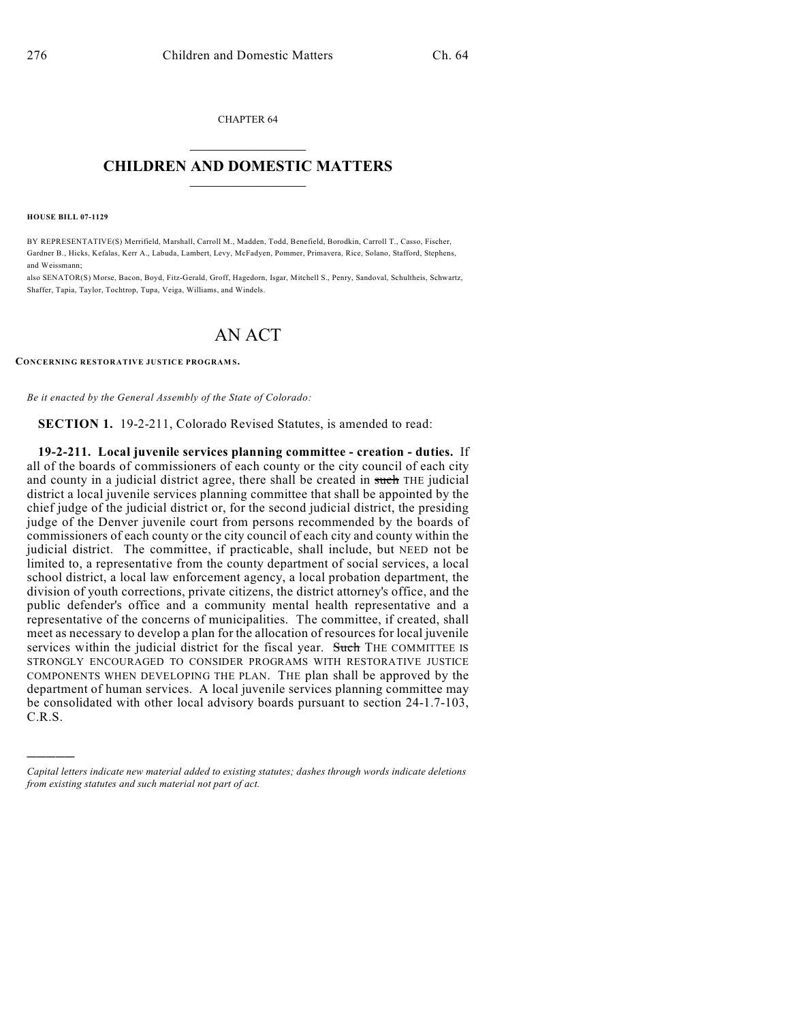CHAPTER 64  $\overline{\phantom{a}}$  . The set of the set of the set of the set of the set of the set of the set of the set of the set of the set of the set of the set of the set of the set of the set of the set of the set of the set of the set o

## **CHILDREN AND DOMESTIC MATTERS**  $\_$

**HOUSE BILL 07-1129**

)))))

BY REPRESENTATIVE(S) Merrifield, Marshall, Carroll M., Madden, Todd, Benefield, Borodkin, Carroll T., Casso, Fischer, Gardner B., Hicks, Kefalas, Kerr A., Labuda, Lambert, Levy, McFadyen, Pommer, Primavera, Rice, Solano, Stafford, Stephens, and Weissmann;

also SENATOR(S) Morse, Bacon, Boyd, Fitz-Gerald, Groff, Hagedorn, Isgar, Mitchell S., Penry, Sandoval, Schultheis, Schwartz, Shaffer, Tapia, Taylor, Tochtrop, Tupa, Veiga, Williams, and Windels.

## AN ACT

**CONCERNING RESTORATIVE JUSTICE PROGRAM S.**

*Be it enacted by the General Assembly of the State of Colorado:*

**SECTION 1.** 19-2-211, Colorado Revised Statutes, is amended to read:

**19-2-211. Local juvenile services planning committee - creation - duties.** If all of the boards of commissioners of each county or the city council of each city and county in a judicial district agree, there shall be created in such THE judicial district a local juvenile services planning committee that shall be appointed by the chief judge of the judicial district or, for the second judicial district, the presiding judge of the Denver juvenile court from persons recommended by the boards of commissioners of each county or the city council of each city and county within the judicial district. The committee, if practicable, shall include, but NEED not be limited to, a representative from the county department of social services, a local school district, a local law enforcement agency, a local probation department, the division of youth corrections, private citizens, the district attorney's office, and the public defender's office and a community mental health representative and a representative of the concerns of municipalities. The committee, if created, shall meet as necessary to develop a plan for the allocation of resources for local juvenile services within the judicial district for the fiscal year. Such THE COMMITTEE IS STRONGLY ENCOURAGED TO CONSIDER PROGRAMS WITH RESTORATIVE JUSTICE COMPONENTS WHEN DEVELOPING THE PLAN. THE plan shall be approved by the department of human services. A local juvenile services planning committee may be consolidated with other local advisory boards pursuant to section 24-1.7-103, C.R.S.

*Capital letters indicate new material added to existing statutes; dashes through words indicate deletions from existing statutes and such material not part of act.*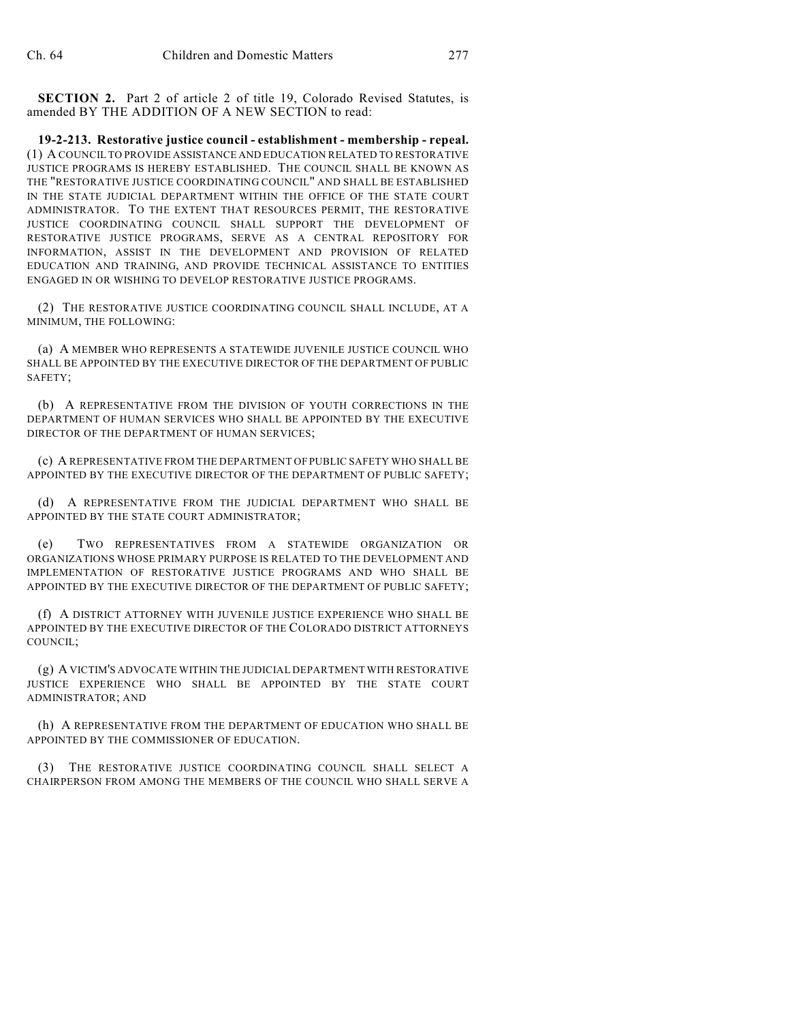**SECTION 2.** Part 2 of article 2 of title 19, Colorado Revised Statutes, is amended BY THE ADDITION OF A NEW SECTION to read:

**19-2-213. Restorative justice council - establishment - membership - repeal.** (1) A COUNCIL TO PROVIDE ASSISTANCE AND EDUCATION RELATED TO RESTORATIVE JUSTICE PROGRAMS IS HEREBY ESTABLISHED. THE COUNCIL SHALL BE KNOWN AS THE "RESTORATIVE JUSTICE COORDINATING COUNCIL" AND SHALL BE ESTABLISHED IN THE STATE JUDICIAL DEPARTMENT WITHIN THE OFFICE OF THE STATE COURT ADMINISTRATOR. TO THE EXTENT THAT RESOURCES PERMIT, THE RESTORATIVE JUSTICE COORDINATING COUNCIL SHALL SUPPORT THE DEVELOPMENT OF RESTORATIVE JUSTICE PROGRAMS, SERVE AS A CENTRAL REPOSITORY FOR INFORMATION, ASSIST IN THE DEVELOPMENT AND PROVISION OF RELATED EDUCATION AND TRAINING, AND PROVIDE TECHNICAL ASSISTANCE TO ENTITIES ENGAGED IN OR WISHING TO DEVELOP RESTORATIVE JUSTICE PROGRAMS.

(2) THE RESTORATIVE JUSTICE COORDINATING COUNCIL SHALL INCLUDE, AT A MINIMUM, THE FOLLOWING:

(a) A MEMBER WHO REPRESENTS A STATEWIDE JUVENILE JUSTICE COUNCIL WHO SHALL BE APPOINTED BY THE EXECUTIVE DIRECTOR OF THE DEPARTMENT OF PUBLIC SAFETY;

(b) A REPRESENTATIVE FROM THE DIVISION OF YOUTH CORRECTIONS IN THE DEPARTMENT OF HUMAN SERVICES WHO SHALL BE APPOINTED BY THE EXECUTIVE DIRECTOR OF THE DEPARTMENT OF HUMAN SERVICES;

(c) A REPRESENTATIVE FROM THE DEPARTMENT OF PUBLIC SAFETY WHO SHALL BE APPOINTED BY THE EXECUTIVE DIRECTOR OF THE DEPARTMENT OF PUBLIC SAFETY;

(d) A REPRESENTATIVE FROM THE JUDICIAL DEPARTMENT WHO SHALL BE APPOINTED BY THE STATE COURT ADMINISTRATOR;

(e) TWO REPRESENTATIVES FROM A STATEWIDE ORGANIZATION OR ORGANIZATIONS WHOSE PRIMARY PURPOSE IS RELATED TO THE DEVELOPMENT AND IMPLEMENTATION OF RESTORATIVE JUSTICE PROGRAMS AND WHO SHALL BE APPOINTED BY THE EXECUTIVE DIRECTOR OF THE DEPARTMENT OF PUBLIC SAFETY;

(f) A DISTRICT ATTORNEY WITH JUVENILE JUSTICE EXPERIENCE WHO SHALL BE APPOINTED BY THE EXECUTIVE DIRECTOR OF THE COLORADO DISTRICT ATTORNEYS COUNCIL;

(g) A VICTIM'S ADVOCATE WITHIN THE JUDICIAL DEPARTMENT WITH RESTORATIVE JUSTICE EXPERIENCE WHO SHALL BE APPOINTED BY THE STATE COURT ADMINISTRATOR; AND

(h) A REPRESENTATIVE FROM THE DEPARTMENT OF EDUCATION WHO SHALL BE APPOINTED BY THE COMMISSIONER OF EDUCATION.

(3) THE RESTORATIVE JUSTICE COORDINATING COUNCIL SHALL SELECT A CHAIRPERSON FROM AMONG THE MEMBERS OF THE COUNCIL WHO SHALL SERVE A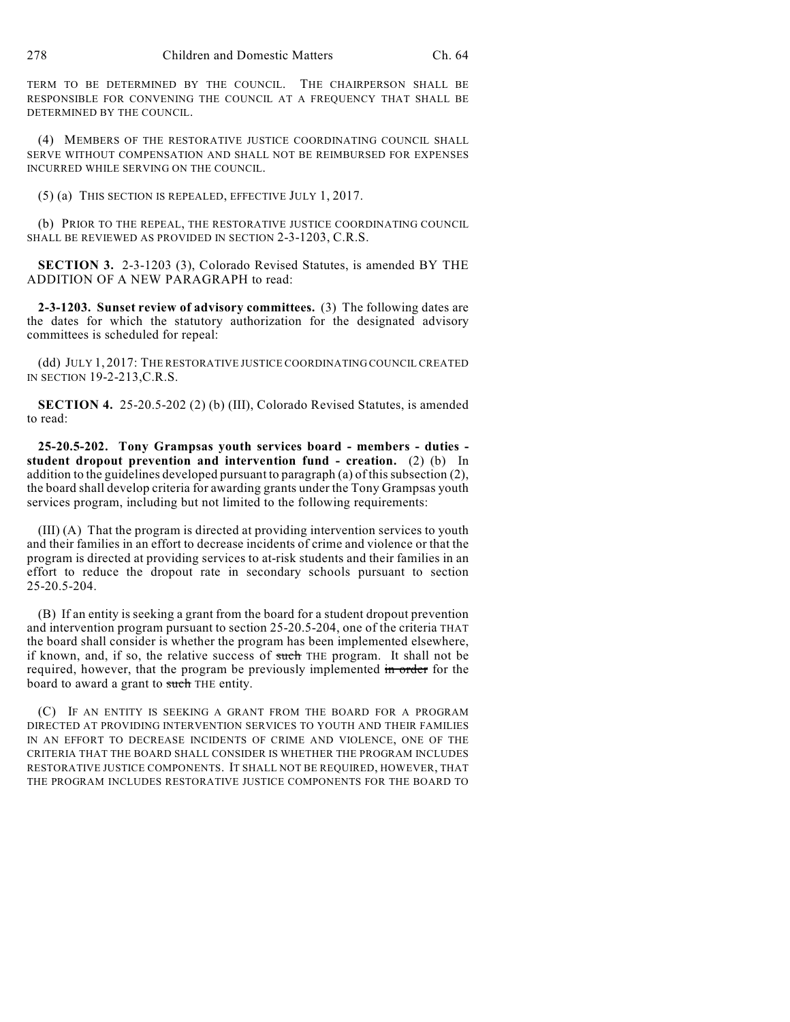TERM TO BE DETERMINED BY THE COUNCIL. THE CHAIRPERSON SHALL BE RESPONSIBLE FOR CONVENING THE COUNCIL AT A FREQUENCY THAT SHALL BE DETERMINED BY THE COUNCIL.

(4) MEMBERS OF THE RESTORATIVE JUSTICE COORDINATING COUNCIL SHALL SERVE WITHOUT COMPENSATION AND SHALL NOT BE REIMBURSED FOR EXPENSES INCURRED WHILE SERVING ON THE COUNCIL.

(5) (a) THIS SECTION IS REPEALED, EFFECTIVE JULY 1, 2017.

(b) PRIOR TO THE REPEAL, THE RESTORATIVE JUSTICE COORDINATING COUNCIL SHALL BE REVIEWED AS PROVIDED IN SECTION 2-3-1203, C.R.S.

**SECTION 3.** 2-3-1203 (3), Colorado Revised Statutes, is amended BY THE ADDITION OF A NEW PARAGRAPH to read:

**2-3-1203. Sunset review of advisory committees.** (3) The following dates are the dates for which the statutory authorization for the designated advisory committees is scheduled for repeal:

(dd) JULY 1, 2017: THE RESTORATIVE JUSTICE COORDINATING COUNCIL CREATED IN SECTION 19-2-213,C.R.S.

**SECTION 4.** 25-20.5-202 (2) (b) (III), Colorado Revised Statutes, is amended to read:

**25-20.5-202. Tony Grampsas youth services board - members - duties student dropout prevention and intervention fund - creation.** (2) (b) In addition to the guidelines developed pursuant to paragraph (a) of this subsection (2), the board shall develop criteria for awarding grants under the Tony Grampsas youth services program, including but not limited to the following requirements:

(III) (A) That the program is directed at providing intervention services to youth and their families in an effort to decrease incidents of crime and violence or that the program is directed at providing services to at-risk students and their families in an effort to reduce the dropout rate in secondary schools pursuant to section 25-20.5-204.

(B) If an entity is seeking a grant from the board for a student dropout prevention and intervention program pursuant to section 25-20.5-204, one of the criteria THAT the board shall consider is whether the program has been implemented elsewhere, if known, and, if so, the relative success of such THE program. It shall not be required, however, that the program be previously implemented in order for the board to award a grant to such THE entity.

(C) IF AN ENTITY IS SEEKING A GRANT FROM THE BOARD FOR A PROGRAM DIRECTED AT PROVIDING INTERVENTION SERVICES TO YOUTH AND THEIR FAMILIES IN AN EFFORT TO DECREASE INCIDENTS OF CRIME AND VIOLENCE, ONE OF THE CRITERIA THAT THE BOARD SHALL CONSIDER IS WHETHER THE PROGRAM INCLUDES RESTORATIVE JUSTICE COMPONENTS. IT SHALL NOT BE REQUIRED, HOWEVER, THAT THE PROGRAM INCLUDES RESTORATIVE JUSTICE COMPONENTS FOR THE BOARD TO